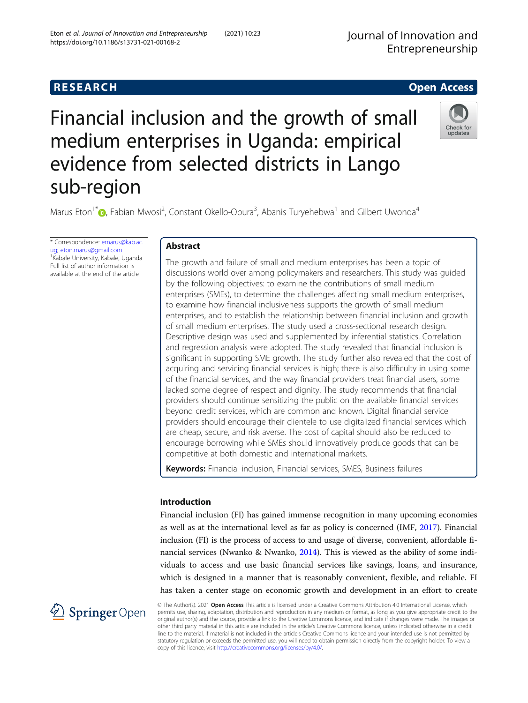# Financial inclusion and the growth of small medium enterprises in Uganda: empirical evidence from selected districts in Lango sub-region



Marus Eton<sup>1\*</sup> (**p**[,](http://orcid.org/0000-0002-9057-8484) Fabian Mwosi<sup>2</sup>, Constant Okello-Obura<sup>3</sup>, Abanis Turyehebwa<sup>1</sup> and Gilbert Uwonda<sup>4</sup>

\* Correspondence: [emarus@kab.ac.](mailto:emarus@kab.ac.ug) [ug;](mailto:emarus@kab.ac.ug) [eton.marus@gmail.com](mailto:eton.marus@gmail.com) <sup>1</sup> <sup>1</sup> Kabale University, Kabale, Uganda Full list of author information is available at the end of the article

### Abstract

The growth and failure of small and medium enterprises has been a topic of discussions world over among policymakers and researchers. This study was guided by the following objectives: to examine the contributions of small medium enterprises (SMEs), to determine the challenges affecting small medium enterprises, to examine how financial inclusiveness supports the growth of small medium enterprises, and to establish the relationship between financial inclusion and growth of small medium enterprises. The study used a cross-sectional research design. Descriptive design was used and supplemented by inferential statistics. Correlation and regression analysis were adopted. The study revealed that financial inclusion is significant in supporting SME growth. The study further also revealed that the cost of acquiring and servicing financial services is high; there is also difficulty in using some of the financial services, and the way financial providers treat financial users, some lacked some degree of respect and dignity. The study recommends that financial providers should continue sensitizing the public on the available financial services beyond credit services, which are common and known. Digital financial service providers should encourage their clientele to use digitalized financial services which are cheap, secure, and risk averse. The cost of capital should also be reduced to encourage borrowing while SMEs should innovatively produce goods that can be competitive at both domestic and international markets.

Keywords: Financial inclusion, Financial services, SMES, Business failures

### Introduction

Financial inclusion (FI) has gained immense recognition in many upcoming economies as well as at the international level as far as policy is concerned (IMF, [2017](#page-21-0)). Financial inclusion (FI) is the process of access to and usage of diverse, convenient, affordable financial services (Nwanko & Nwanko, [2014\)](#page-21-0). This is viewed as the ability of some individuals to access and use basic financial services like savings, loans, and insurance, which is designed in a manner that is reasonably convenient, flexible, and reliable. FI has taken a center stage on economic growth and development in an effort to create



© The Author(s). 2021 Open Access This article is licensed under a Creative Commons Attribution 4.0 International License, which permits use, sharing, adaptation, distribution and reproduction in any medium or format, as long as you give appropriate credit to the original author(s) and the source, provide a link to the Creative Commons licence, and indicate if changes were made. The images or other third party material in this article are included in the article's Creative Commons licence, unless indicated otherwise in a credit line to the material. If material is not included in the article's Creative Commons licence and your intended use is not permitted by statutory regulation or exceeds the permitted use, you will need to obtain permission directly from the copyright holder. To view a copy of this licence, visit <http://creativecommons.org/licenses/by/4.0/>.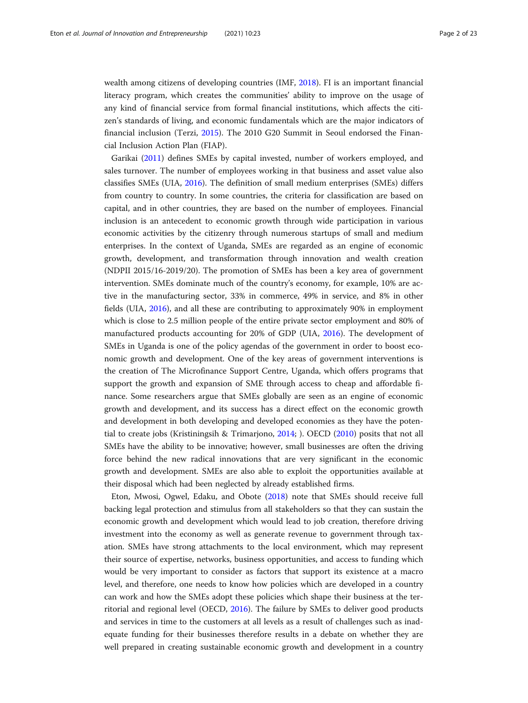wealth among citizens of developing countries (IMF, [2018\)](#page-21-0). FI is an important financial literacy program, which creates the communities' ability to improve on the usage of any kind of financial service from formal financial institutions, which affects the citizen's standards of living, and economic fundamentals which are the major indicators of financial inclusion (Terzi, [2015\)](#page-22-0). The 2010 G20 Summit in Seoul endorsed the Financial Inclusion Action Plan (FIAP).

Garikai [\(2011](#page-20-0)) defines SMEs by capital invested, number of workers employed, and sales turnover. The number of employees working in that business and asset value also classifies SMEs (UIA, [2016](#page-22-0)). The definition of small medium enterprises (SMEs) differs from country to country. In some countries, the criteria for classification are based on capital, and in other countries, they are based on the number of employees. Financial inclusion is an antecedent to economic growth through wide participation in various economic activities by the citizenry through numerous startups of small and medium enterprises. In the context of Uganda, SMEs are regarded as an engine of economic growth, development, and transformation through innovation and wealth creation (NDPII 2015/16-2019/20). The promotion of SMEs has been a key area of government intervention. SMEs dominate much of the country's economy, for example, 10% are active in the manufacturing sector, 33% in commerce, 49% in service, and 8% in other fields (UIA, [2016](#page-22-0)), and all these are contributing to approximately 90% in employment which is close to 2.5 million people of the entire private sector employment and 80% of manufactured products accounting for 20% of GDP (UIA, [2016](#page-22-0)). The development of SMEs in Uganda is one of the policy agendas of the government in order to boost economic growth and development. One of the key areas of government interventions is the creation of The Microfinance Support Centre, Uganda, which offers programs that support the growth and expansion of SME through access to cheap and affordable finance. Some researchers argue that SMEs globally are seen as an engine of economic growth and development, and its success has a direct effect on the economic growth and development in both developing and developed economies as they have the potential to create jobs (Kristiningsih & Trimarjono, [2014;](#page-21-0) ). OECD ([2010](#page-21-0)) posits that not all SMEs have the ability to be innovative; however, small businesses are often the driving force behind the new radical innovations that are very significant in the economic growth and development. SMEs are also able to exploit the opportunities available at their disposal which had been neglected by already established firms.

Eton, Mwosi, Ogwel, Edaku, and Obote [\(2018\)](#page-20-0) note that SMEs should receive full backing legal protection and stimulus from all stakeholders so that they can sustain the economic growth and development which would lead to job creation, therefore driving investment into the economy as well as generate revenue to government through taxation. SMEs have strong attachments to the local environment, which may represent their source of expertise, networks, business opportunities, and access to funding which would be very important to consider as factors that support its existence at a macro level, and therefore, one needs to know how policies which are developed in a country can work and how the SMEs adopt these policies which shape their business at the territorial and regional level (OECD, [2016\)](#page-21-0). The failure by SMEs to deliver good products and services in time to the customers at all levels as a result of challenges such as inadequate funding for their businesses therefore results in a debate on whether they are well prepared in creating sustainable economic growth and development in a country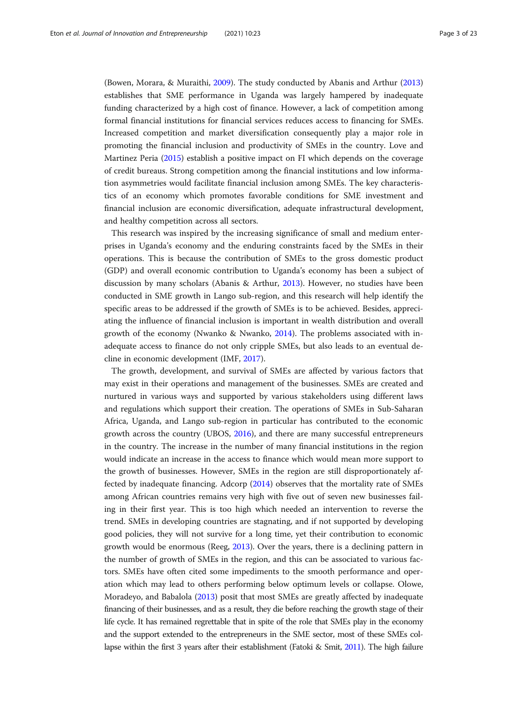(Bowen, Morara, & Muraithi, [2009](#page-20-0)). The study conducted by Abanis and Arthur ([2013](#page-19-0)) establishes that SME performance in Uganda was largely hampered by inadequate funding characterized by a high cost of finance. However, a lack of competition among formal financial institutions for financial services reduces access to financing for SMEs. Increased competition and market diversification consequently play a major role in promoting the financial inclusion and productivity of SMEs in the country. Love and Martinez Peria ([2015](#page-21-0)) establish a positive impact on FI which depends on the coverage of credit bureaus. Strong competition among the financial institutions and low information asymmetries would facilitate financial inclusion among SMEs. The key characteristics of an economy which promotes favorable conditions for SME investment and financial inclusion are economic diversification, adequate infrastructural development, and healthy competition across all sectors.

This research was inspired by the increasing significance of small and medium enterprises in Uganda's economy and the enduring constraints faced by the SMEs in their operations. This is because the contribution of SMEs to the gross domestic product (GDP) and overall economic contribution to Uganda's economy has been a subject of discussion by many scholars (Abanis & Arthur, [2013\)](#page-19-0). However, no studies have been conducted in SME growth in Lango sub-region, and this research will help identify the specific areas to be addressed if the growth of SMEs is to be achieved. Besides, appreciating the influence of financial inclusion is important in wealth distribution and overall growth of the economy (Nwanko & Nwanko, [2014\)](#page-21-0). The problems associated with inadequate access to finance do not only cripple SMEs, but also leads to an eventual decline in economic development (IMF, [2017](#page-21-0)).

The growth, development, and survival of SMEs are affected by various factors that may exist in their operations and management of the businesses. SMEs are created and nurtured in various ways and supported by various stakeholders using different laws and regulations which support their creation. The operations of SMEs in Sub-Saharan Africa, Uganda, and Lango sub-region in particular has contributed to the economic growth across the country (UBOS, [2016\)](#page-22-0), and there are many successful entrepreneurs in the country. The increase in the number of many financial institutions in the region would indicate an increase in the access to finance which would mean more support to the growth of businesses. However, SMEs in the region are still disproportionately affected by inadequate financing. Adcorp [\(2014\)](#page-19-0) observes that the mortality rate of SMEs among African countries remains very high with five out of seven new businesses failing in their first year. This is too high which needed an intervention to reverse the trend. SMEs in developing countries are stagnating, and if not supported by developing good policies, they will not survive for a long time, yet their contribution to economic growth would be enormous (Reeg, [2013](#page-21-0)). Over the years, there is a declining pattern in the number of growth of SMEs in the region, and this can be associated to various factors. SMEs have often cited some impediments to the smooth performance and operation which may lead to others performing below optimum levels or collapse. Olowe, Moradeyo, and Babalola ([2013](#page-21-0)) posit that most SMEs are greatly affected by inadequate financing of their businesses, and as a result, they die before reaching the growth stage of their life cycle. It has remained regrettable that in spite of the role that SMEs play in the economy and the support extended to the entrepreneurs in the SME sector, most of these SMEs collapse within the first 3 years after their establishment (Fatoki & Smit, [2011](#page-20-0)). The high failure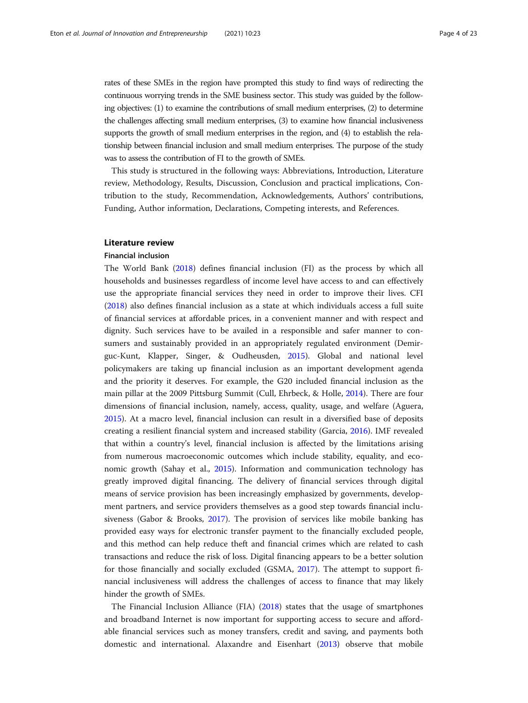rates of these SMEs in the region have prompted this study to find ways of redirecting the continuous worrying trends in the SME business sector. This study was guided by the following objectives: (1) to examine the contributions of small medium enterprises, (2) to determine the challenges affecting small medium enterprises, (3) to examine how financial inclusiveness supports the growth of small medium enterprises in the region, and (4) to establish the relationship between financial inclusion and small medium enterprises. The purpose of the study was to assess the contribution of FI to the growth of SMEs.

This study is structured in the following ways: Abbreviations, Introduction, Literature review, Methodology, Results, Discussion, Conclusion and practical implications, Contribution to the study, Recommendation, Acknowledgements, Authors' contributions, Funding, Author information, Declarations, Competing interests, and References.

#### Literature review

#### Financial inclusion

The World Bank [\(2018\)](#page-22-0) defines financial inclusion (FI) as the process by which all households and businesses regardless of income level have access to and can effectively use the appropriate financial services they need in order to improve their lives. CFI ([2018](#page-20-0)) also defines financial inclusion as a state at which individuals access a full suite of financial services at affordable prices, in a convenient manner and with respect and dignity. Such services have to be availed in a responsible and safer manner to consumers and sustainably provided in an appropriately regulated environment (Demirguc-Kunt, Klapper, Singer, & Oudheusden, [2015](#page-20-0)). Global and national level policymakers are taking up financial inclusion as an important development agenda and the priority it deserves. For example, the G20 included financial inclusion as the main pillar at the 2009 Pittsburg Summit (Cull, Ehrbeck, & Holle, [2014\)](#page-20-0). There are four dimensions of financial inclusion, namely, access, quality, usage, and welfare (Aguera, [2015](#page-19-0)). At a macro level, financial inclusion can result in a diversified base of deposits creating a resilient financial system and increased stability (Garcia, [2016\)](#page-20-0). IMF revealed that within a country's level, financial inclusion is affected by the limitations arising from numerous macroeconomic outcomes which include stability, equality, and economic growth (Sahay et al., [2015\)](#page-21-0). Information and communication technology has greatly improved digital financing. The delivery of financial services through digital means of service provision has been increasingly emphasized by governments, development partners, and service providers themselves as a good step towards financial inclusiveness (Gabor & Brooks, [2017](#page-20-0)). The provision of services like mobile banking has provided easy ways for electronic transfer payment to the financially excluded people, and this method can help reduce theft and financial crimes which are related to cash transactions and reduce the risk of loss. Digital financing appears to be a better solution for those financially and socially excluded (GSMA, [2017](#page-21-0)). The attempt to support financial inclusiveness will address the challenges of access to finance that may likely hinder the growth of SMEs.

The Financial Inclusion Alliance (FIA) [\(2018\)](#page-22-0) states that the usage of smartphones and broadband Internet is now important for supporting access to secure and affordable financial services such as money transfers, credit and saving, and payments both domestic and international. Alaxandre and Eisenhart ([2013](#page-20-0)) observe that mobile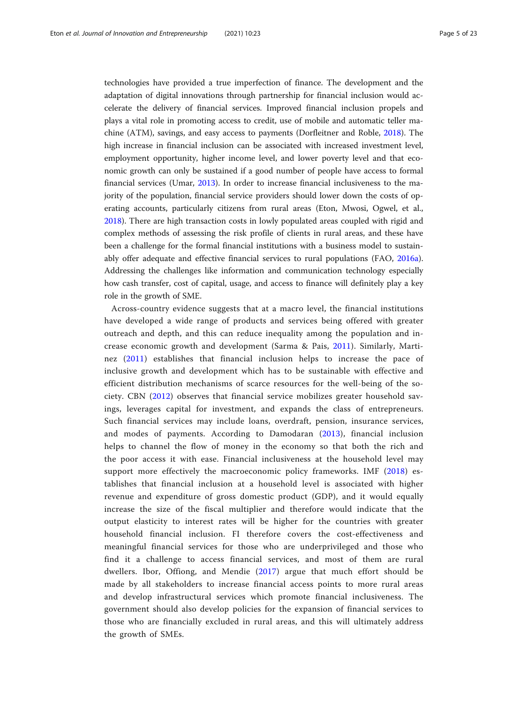technologies have provided a true imperfection of finance. The development and the adaptation of digital innovations through partnership for financial inclusion would accelerate the delivery of financial services. Improved financial inclusion propels and plays a vital role in promoting access to credit, use of mobile and automatic teller machine (ATM), savings, and easy access to payments (Dorfleitner and Roble, [2018\)](#page-20-0). The high increase in financial inclusion can be associated with increased investment level, employment opportunity, higher income level, and lower poverty level and that economic growth can only be sustained if a good number of people have access to formal financial services (Umar, [2013\)](#page-22-0). In order to increase financial inclusiveness to the majority of the population, financial service providers should lower down the costs of operating accounts, particularly citizens from rural areas (Eton, Mwosi, Ogwel, et al., [2018](#page-20-0)). There are high transaction costs in lowly populated areas coupled with rigid and complex methods of assessing the risk profile of clients in rural areas, and these have been a challenge for the formal financial institutions with a business model to sustainably offer adequate and effective financial services to rural populations (FAO, [2016a](#page-20-0)). Addressing the challenges like information and communication technology especially how cash transfer, cost of capital, usage, and access to finance will definitely play a key role in the growth of SME.

Across-country evidence suggests that at a macro level, the financial institutions have developed a wide range of products and services being offered with greater outreach and depth, and this can reduce inequality among the population and increase economic growth and development (Sarma & Pais, [2011](#page-21-0)). Similarly, Martinez [\(2011\)](#page-21-0) establishes that financial inclusion helps to increase the pace of inclusive growth and development which has to be sustainable with effective and efficient distribution mechanisms of scarce resources for the well-being of the society. CBN ([2012](#page-20-0)) observes that financial service mobilizes greater household savings, leverages capital for investment, and expands the class of entrepreneurs. Such financial services may include loans, overdraft, pension, insurance services, and modes of payments. According to Damodaran ([2013\)](#page-20-0), financial inclusion helps to channel the flow of money in the economy so that both the rich and the poor access it with ease. Financial inclusiveness at the household level may support more effectively the macroeconomic policy frameworks. IMF ([2018\)](#page-21-0) establishes that financial inclusion at a household level is associated with higher revenue and expenditure of gross domestic product (GDP), and it would equally increase the size of the fiscal multiplier and therefore would indicate that the output elasticity to interest rates will be higher for the countries with greater household financial inclusion. FI therefore covers the cost-effectiveness and meaningful financial services for those who are underprivileged and those who find it a challenge to access financial services, and most of them are rural dwellers. Ibor, Offiong, and Mendie ([2017](#page-21-0)) argue that much effort should be made by all stakeholders to increase financial access points to more rural areas and develop infrastructural services which promote financial inclusiveness. The government should also develop policies for the expansion of financial services to those who are financially excluded in rural areas, and this will ultimately address the growth of SMEs.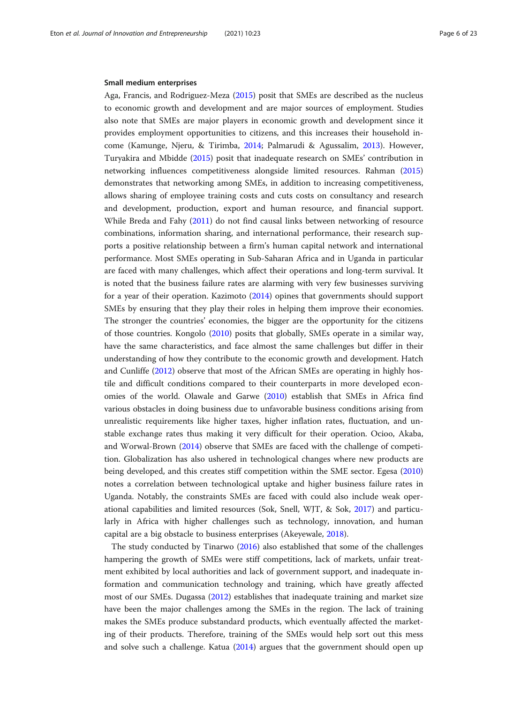#### Small medium enterprises

Aga, Francis, and Rodriguez-Meza ([2015](#page-19-0)) posit that SMEs are described as the nucleus to economic growth and development and are major sources of employment. Studies also note that SMEs are major players in economic growth and development since it provides employment opportunities to citizens, and this increases their household income (Kamunge, Njeru, & Tirimba, [2014;](#page-21-0) Palmarudi & Agussalim, [2013\)](#page-21-0). However, Turyakira and Mbidde ([2015](#page-22-0)) posit that inadequate research on SMEs' contribution in networking influences competitiveness alongside limited resources. Rahman ([2015](#page-21-0)) demonstrates that networking among SMEs, in addition to increasing competitiveness, allows sharing of employee training costs and cuts costs on consultancy and research and development, production, export and human resource, and financial support. While Breda and Fahy [\(2011\)](#page-20-0) do not find causal links between networking of resource combinations, information sharing, and international performance, their research supports a positive relationship between a firm's human capital network and international performance. Most SMEs operating in Sub-Saharan Africa and in Uganda in particular are faced with many challenges, which affect their operations and long-term survival. It is noted that the business failure rates are alarming with very few businesses surviving for a year of their operation. Kazimoto [\(2014\)](#page-21-0) opines that governments should support SMEs by ensuring that they play their roles in helping them improve their economies. The stronger the countries' economies, the bigger are the opportunity for the citizens of those countries. Kongolo ([2010\)](#page-21-0) posits that globally, SMEs operate in a similar way, have the same characteristics, and face almost the same challenges but differ in their understanding of how they contribute to the economic growth and development. Hatch and Cunliffe ([2012](#page-21-0)) observe that most of the African SMEs are operating in highly hostile and difficult conditions compared to their counterparts in more developed economies of the world. Olawale and Garwe [\(2010\)](#page-21-0) establish that SMEs in Africa find various obstacles in doing business due to unfavorable business conditions arising from unrealistic requirements like higher taxes, higher inflation rates, fluctuation, and unstable exchange rates thus making it very difficult for their operation. Ocioo, Akaba, and Worwal-Brown [\(2014\)](#page-21-0) observe that SMEs are faced with the challenge of competition. Globalization has also ushered in technological changes where new products are being developed, and this creates stiff competition within the SME sector. Egesa ([2010](#page-20-0)) notes a correlation between technological uptake and higher business failure rates in Uganda. Notably, the constraints SMEs are faced with could also include weak operational capabilities and limited resources (Sok, Snell, WJT, & Sok, [2017](#page-22-0)) and particularly in Africa with higher challenges such as technology, innovation, and human capital are a big obstacle to business enterprises (Akeyewale, [2018](#page-20-0)).

The study conducted by Tinarwo [\(2016](#page-22-0)) also established that some of the challenges hampering the growth of SMEs were stiff competitions, lack of markets, unfair treatment exhibited by local authorities and lack of government support, and inadequate information and communication technology and training, which have greatly affected most of our SMEs. Dugassa [\(2012\)](#page-20-0) establishes that inadequate training and market size have been the major challenges among the SMEs in the region. The lack of training makes the SMEs produce substandard products, which eventually affected the marketing of their products. Therefore, training of the SMEs would help sort out this mess and solve such a challenge. Katua [\(2014\)](#page-21-0) argues that the government should open up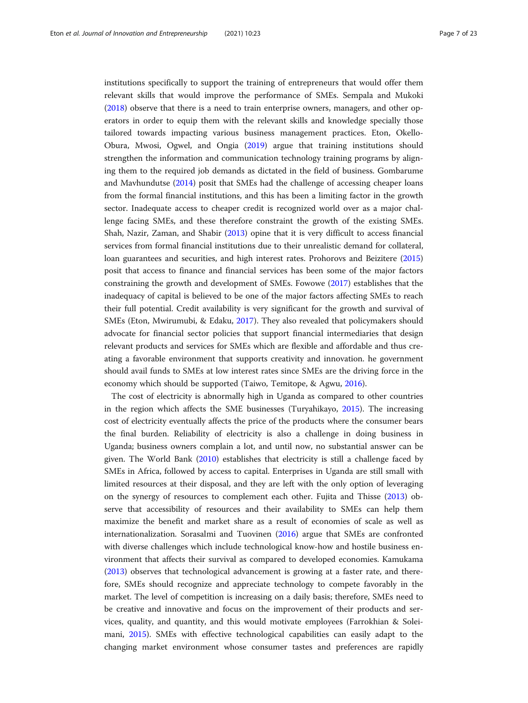institutions specifically to support the training of entrepreneurs that would offer them relevant skills that would improve the performance of SMEs. Sempala and Mukoki ([2018](#page-21-0)) observe that there is a need to train enterprise owners, managers, and other operators in order to equip them with the relevant skills and knowledge specially those tailored towards impacting various business management practices. Eton, Okello-Obura, Mwosi, Ogwel, and Ongia ([2019\)](#page-20-0) argue that training institutions should strengthen the information and communication technology training programs by aligning them to the required job demands as dictated in the field of business. Gombarume and Mavhundutse [\(2014\)](#page-21-0) posit that SMEs had the challenge of accessing cheaper loans from the formal financial institutions, and this has been a limiting factor in the growth sector. Inadequate access to cheaper credit is recognized world over as a major challenge facing SMEs, and these therefore constraint the growth of the existing SMEs. Shah, Nazir, Zaman, and Shabir ([2013](#page-21-0)) opine that it is very difficult to access financial services from formal financial institutions due to their unrealistic demand for collateral, loan guarantees and securities, and high interest rates. Prohorovs and Beizitere ([2015](#page-21-0)) posit that access to finance and financial services has been some of the major factors constraining the growth and development of SMEs. Fowowe [\(2017\)](#page-20-0) establishes that the inadequacy of capital is believed to be one of the major factors affecting SMEs to reach their full potential. Credit availability is very significant for the growth and survival of SMEs (Eton, Mwirumubi, & Edaku, [2017](#page-20-0)). They also revealed that policymakers should advocate for financial sector policies that support financial intermediaries that design relevant products and services for SMEs which are flexible and affordable and thus creating a favorable environment that supports creativity and innovation. he government should avail funds to SMEs at low interest rates since SMEs are the driving force in the economy which should be supported (Taiwo, Temitope, & Agwu, [2016\)](#page-22-0).

The cost of electricity is abnormally high in Uganda as compared to other countries in the region which affects the SME businesses (Turyahikayo, [2015\)](#page-22-0). The increasing cost of electricity eventually affects the price of the products where the consumer bears the final burden. Reliability of electricity is also a challenge in doing business in Uganda; business owners complain a lot, and until now, no substantial answer can be given. The World Bank [\(2010](#page-22-0)) establishes that electricity is still a challenge faced by SMEs in Africa, followed by access to capital. Enterprises in Uganda are still small with limited resources at their disposal, and they are left with the only option of leveraging on the synergy of resources to complement each other. Fujita and Thisse ([2013\)](#page-20-0) observe that accessibility of resources and their availability to SMEs can help them maximize the benefit and market share as a result of economies of scale as well as internationalization. Sorasalmi and Tuovinen ([2016\)](#page-22-0) argue that SMEs are confronted with diverse challenges which include technological know-how and hostile business environment that affects their survival as compared to developed economies. Kamukama ([2013](#page-21-0)) observes that technological advancement is growing at a faster rate, and therefore, SMEs should recognize and appreciate technology to compete favorably in the market. The level of competition is increasing on a daily basis; therefore, SMEs need to be creative and innovative and focus on the improvement of their products and services, quality, and quantity, and this would motivate employees (Farrokhian & Soleimani, [2015](#page-20-0)). SMEs with effective technological capabilities can easily adapt to the changing market environment whose consumer tastes and preferences are rapidly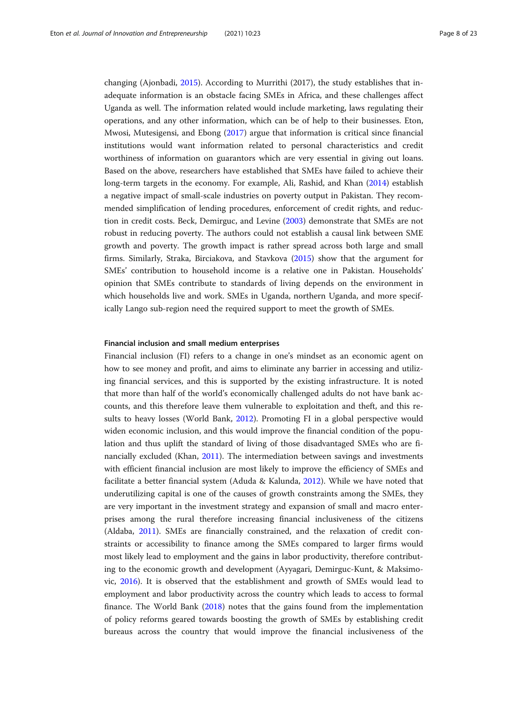changing (Ajonbadi, [2015](#page-20-0)). According to Murrithi (2017), the study establishes that inadequate information is an obstacle facing SMEs in Africa, and these challenges affect Uganda as well. The information related would include marketing, laws regulating their operations, and any other information, which can be of help to their businesses. Eton, Mwosi, Mutesigensi, and Ebong ([2017](#page-20-0)) argue that information is critical since financial institutions would want information related to personal characteristics and credit worthiness of information on guarantors which are very essential in giving out loans. Based on the above, researchers have established that SMEs have failed to achieve their long-term targets in the economy. For example, Ali, Rashid, and Khan [\(2014](#page-20-0)) establish a negative impact of small-scale industries on poverty output in Pakistan. They recommended simplification of lending procedures, enforcement of credit rights, and reduction in credit costs. Beck, Demirguc, and Levine [\(2003\)](#page-20-0) demonstrate that SMEs are not robust in reducing poverty. The authors could not establish a causal link between SME growth and poverty. The growth impact is rather spread across both large and small firms. Similarly, Straka, Birciakova, and Stavkova ([2015](#page-22-0)) show that the argument for SMEs' contribution to household income is a relative one in Pakistan. Households' opinion that SMEs contribute to standards of living depends on the environment in which households live and work. SMEs in Uganda, northern Uganda, and more specifically Lango sub-region need the required support to meet the growth of SMEs.

#### Financial inclusion and small medium enterprises

Financial inclusion (FI) refers to a change in one's mindset as an economic agent on how to see money and profit, and aims to eliminate any barrier in accessing and utilizing financial services, and this is supported by the existing infrastructure. It is noted that more than half of the world's economically challenged adults do not have bank accounts, and this therefore leave them vulnerable to exploitation and theft, and this results to heavy losses (World Bank, [2012](#page-22-0)). Promoting FI in a global perspective would widen economic inclusion, and this would improve the financial condition of the population and thus uplift the standard of living of those disadvantaged SMEs who are financially excluded (Khan, [2011](#page-21-0)). The intermediation between savings and investments with efficient financial inclusion are most likely to improve the efficiency of SMEs and facilitate a better financial system (Aduda & Kalunda, [2012\)](#page-19-0). While we have noted that underutilizing capital is one of the causes of growth constraints among the SMEs, they are very important in the investment strategy and expansion of small and macro enterprises among the rural therefore increasing financial inclusiveness of the citizens (Aldaba, [2011](#page-20-0)). SMEs are financially constrained, and the relaxation of credit constraints or accessibility to finance among the SMEs compared to larger firms would most likely lead to employment and the gains in labor productivity, therefore contributing to the economic growth and development (Ayyagari, Demirguc-Kunt, & Maksimovic, [2016](#page-20-0)). It is observed that the establishment and growth of SMEs would lead to employment and labor productivity across the country which leads to access to formal finance. The World Bank [\(2018\)](#page-22-0) notes that the gains found from the implementation of policy reforms geared towards boosting the growth of SMEs by establishing credit bureaus across the country that would improve the financial inclusiveness of the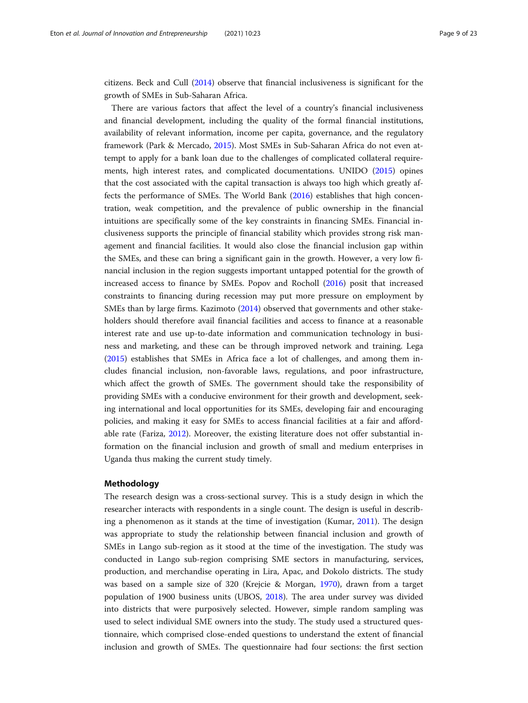citizens. Beck and Cull [\(2014\)](#page-20-0) observe that financial inclusiveness is significant for the growth of SMEs in Sub-Saharan Africa.

There are various factors that affect the level of a country's financial inclusiveness and financial development, including the quality of the formal financial institutions, availability of relevant information, income per capita, governance, and the regulatory framework (Park & Mercado, [2015](#page-21-0)). Most SMEs in Sub-Saharan Africa do not even attempt to apply for a bank loan due to the challenges of complicated collateral requirements, high interest rates, and complicated documentations. UNIDO [\(2015\)](#page-22-0) opines that the cost associated with the capital transaction is always too high which greatly affects the performance of SMEs. The World Bank [\(2016\)](#page-22-0) establishes that high concentration, weak competition, and the prevalence of public ownership in the financial intuitions are specifically some of the key constraints in financing SMEs. Financial inclusiveness supports the principle of financial stability which provides strong risk management and financial facilities. It would also close the financial inclusion gap within the SMEs, and these can bring a significant gain in the growth. However, a very low financial inclusion in the region suggests important untapped potential for the growth of increased access to finance by SMEs. Popov and Rocholl ([2016](#page-21-0)) posit that increased constraints to financing during recession may put more pressure on employment by SMEs than by large firms. Kazimoto ([2014](#page-21-0)) observed that governments and other stakeholders should therefore avail financial facilities and access to finance at a reasonable interest rate and use up-to-date information and communication technology in business and marketing, and these can be through improved network and training. Lega ([2015](#page-21-0)) establishes that SMEs in Africa face a lot of challenges, and among them includes financial inclusion, non-favorable laws, regulations, and poor infrastructure, which affect the growth of SMEs. The government should take the responsibility of providing SMEs with a conducive environment for their growth and development, seeking international and local opportunities for its SMEs, developing fair and encouraging policies, and making it easy for SMEs to access financial facilities at a fair and affordable rate (Fariza, [2012\)](#page-20-0). Moreover, the existing literature does not offer substantial information on the financial inclusion and growth of small and medium enterprises in Uganda thus making the current study timely.

#### Methodology

The research design was a cross-sectional survey. This is a study design in which the researcher interacts with respondents in a single count. The design is useful in describing a phenomenon as it stands at the time of investigation (Kumar, [2011\)](#page-21-0). The design was appropriate to study the relationship between financial inclusion and growth of SMEs in Lango sub-region as it stood at the time of the investigation. The study was conducted in Lango sub-region comprising SME sectors in manufacturing, services, production, and merchandise operating in Lira, Apac, and Dokolo districts. The study was based on a sample size of 320 (Krejcie & Morgan, [1970\)](#page-21-0), drawn from a target population of 1900 business units (UBOS, [2018](#page-22-0)). The area under survey was divided into districts that were purposively selected. However, simple random sampling was used to select individual SME owners into the study. The study used a structured questionnaire, which comprised close-ended questions to understand the extent of financial inclusion and growth of SMEs. The questionnaire had four sections: the first section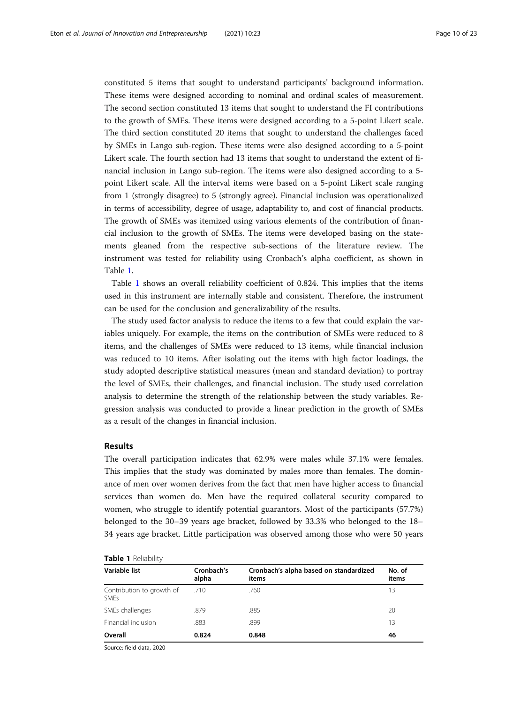constituted 5 items that sought to understand participants' background information. These items were designed according to nominal and ordinal scales of measurement. The second section constituted 13 items that sought to understand the FI contributions to the growth of SMEs. These items were designed according to a 5-point Likert scale. The third section constituted 20 items that sought to understand the challenges faced by SMEs in Lango sub-region. These items were also designed according to a 5-point Likert scale. The fourth section had 13 items that sought to understand the extent of financial inclusion in Lango sub-region. The items were also designed according to a 5 point Likert scale. All the interval items were based on a 5-point Likert scale ranging from 1 (strongly disagree) to 5 (strongly agree). Financial inclusion was operationalized in terms of accessibility, degree of usage, adaptability to, and cost of financial products. The growth of SMEs was itemized using various elements of the contribution of financial inclusion to the growth of SMEs. The items were developed basing on the statements gleaned from the respective sub-sections of the literature review. The instrument was tested for reliability using Cronbach's alpha coefficient, as shown in Table 1.

Table 1 shows an overall reliability coefficient of 0.824. This implies that the items used in this instrument are internally stable and consistent. Therefore, the instrument can be used for the conclusion and generalizability of the results.

The study used factor analysis to reduce the items to a few that could explain the variables uniquely. For example, the items on the contribution of SMEs were reduced to 8 items, and the challenges of SMEs were reduced to 13 items, while financial inclusion was reduced to 10 items. After isolating out the items with high factor loadings, the study adopted descriptive statistical measures (mean and standard deviation) to portray the level of SMEs, their challenges, and financial inclusion. The study used correlation analysis to determine the strength of the relationship between the study variables. Regression analysis was conducted to provide a linear prediction in the growth of SMEs as a result of the changes in financial inclusion.

#### Results

The overall participation indicates that 62.9% were males while 37.1% were females. This implies that the study was dominated by males more than females. The dominance of men over women derives from the fact that men have higher access to financial services than women do. Men have the required collateral security compared to women, who struggle to identify potential guarantors. Most of the participants (57.7%) belonged to the 30–39 years age bracket, followed by 33.3% who belonged to the 18– 34 years age bracket. Little participation was observed among those who were 50 years

|  | Table 1 Reliability |  |
|--|---------------------|--|
|--|---------------------|--|

| Variable list                            | Cronbach's<br>alpha | Cronbach's alpha based on standardized<br>items | No. of<br>items |
|------------------------------------------|---------------------|-------------------------------------------------|-----------------|
| Contribution to growth of<br><b>SMEs</b> | .710                | .760                                            | 13              |
| SMEs challenges                          | .879                | .885                                            | 20              |
| Financial inclusion                      | .883                | .899                                            | 13              |
| Overall                                  | 0.824               | 0.848                                           | 46              |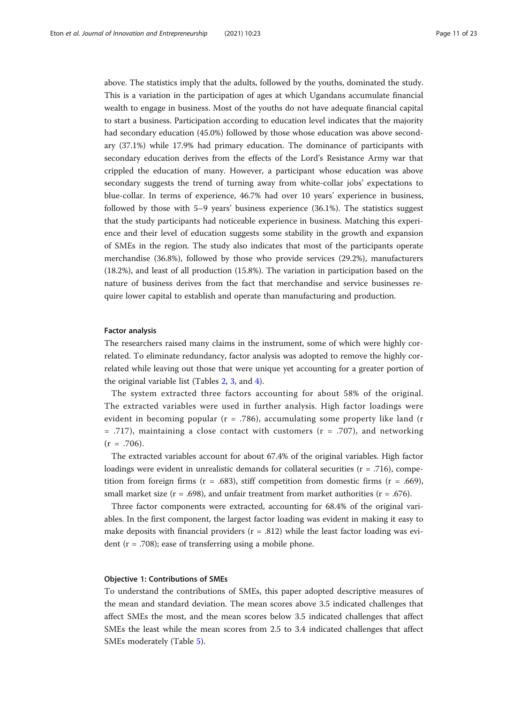above. The statistics imply that the adults, followed by the youths, dominated the study. This is a variation in the participation of ages at which Ugandans accumulate financial wealth to engage in business. Most of the youths do not have adequate financial capital to start a business. Participation according to education level indicates that the majority had secondary education (45.0%) followed by those whose education was above secondary (37.1%) while 17.9% had primary education. The dominance of participants with secondary education derives from the effects of the Lord's Resistance Army war that crippled the education of many. However, a participant whose education was above secondary suggests the trend of turning away from white-collar jobs' expectations to blue-collar. In terms of experience, 46.7% had over 10 years' experience in business, followed by those with 5–9 years' business experience (36.1%). The statistics suggest that the study participants had noticeable experience in business. Matching this experience and their level of education suggests some stability in the growth and expansion of SMEs in the region. The study also indicates that most of the participants operate merchandise (36.8%), followed by those who provide services (29.2%), manufacturers (18.2%), and least of all production (15.8%). The variation in participation based on the nature of business derives from the fact that merchandise and service businesses require lower capital to establish and operate than manufacturing and production.

#### Factor analysis

The researchers raised many claims in the instrument, some of which were highly correlated. To eliminate redundancy, factor analysis was adopted to remove the highly correlated while leaving out those that were unique yet accounting for a greater portion of the original variable list (Tables [2,](#page-11-0) [3,](#page-11-0) and [4\)](#page-12-0).

The system extracted three factors accounting for about 58% of the original. The extracted variables were used in further analysis. High factor loadings were evident in becoming popular ( $r = .786$ ), accumulating some property like land (r  $=$  .717), maintaining a close contact with customers ( $r = .707$ ), and networking  $(r = .706)$ .

The extracted variables account for about 67.4% of the original variables. High factor loadings were evident in unrealistic demands for collateral securities ( $r = .716$ ), competition from foreign firms ( $r = .683$ ), stiff competition from domestic firms ( $r = .669$ ), small market size ( $r = .698$ ), and unfair treatment from market authorities ( $r = .676$ ).

Three factor components were extracted, accounting for 68.4% of the original variables. In the first component, the largest factor loading was evident in making it easy to make deposits with financial providers  $(r = .812)$  while the least factor loading was evident ( $r = .708$ ); ease of transferring using a mobile phone.

#### Objective 1: Contributions of SMEs

To understand the contributions of SMEs, this paper adopted descriptive measures of the mean and standard deviation. The mean scores above 3.5 indicated challenges that affect SMEs the most, and the mean scores below 3.5 indicated challenges that affect SMEs the least while the mean scores from 2.5 to 3.4 indicated challenges that affect SMEs moderately (Table [5](#page-12-0)).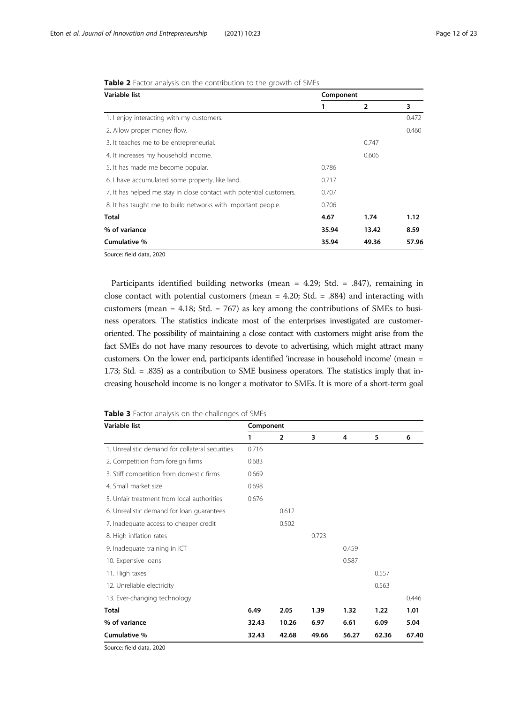| Variable list                                                       | Component |                |       |
|---------------------------------------------------------------------|-----------|----------------|-------|
|                                                                     | 1         | $\overline{2}$ | 3     |
| 1. I enjoy interacting with my customers.                           |           |                | 0.472 |
| 2. Allow proper money flow.                                         |           |                | 0.460 |
| 3. It teaches me to be entrepreneurial.                             |           | 0.747          |       |
| 4. It increases my household income.                                |           | 0.606          |       |
| 5. It has made me become popular.                                   | 0.786     |                |       |
| 6. I have accumulated some property, like land.                     | 0.717     |                |       |
| 7. It has helped me stay in close contact with potential customers. | 0.707     |                |       |
| 8. It has taught me to build networks with important people.        | 0.706     |                |       |
| <b>Total</b>                                                        | 4.67      | 1.74           | 1.12  |
| % of variance                                                       | 35.94     | 13.42          | 8.59  |
| Cumulative %                                                        | 35.94     | 49.36          | 57.96 |
| Source: field data, 2020                                            |           |                |       |

<span id="page-11-0"></span>Table 2 Factor analysis on the contribution to the growth of SMEs

Participants identified building networks (mean = 4.29; Std. = .847), remaining in close contact with potential customers (mean = 4.20; Std. = .884) and interacting with customers (mean = 4.18; Std. = 767) as key among the contributions of SMEs to business operators. The statistics indicate most of the enterprises investigated are customeroriented. The possibility of maintaining a close contact with customers might arise from the fact SMEs do not have many resources to devote to advertising, which might attract many customers. On the lower end, participants identified 'increase in household income' (mean = 1.73; Std. = .835) as a contribution to SME business operators. The statistics imply that increasing household income is no longer a motivator to SMEs. It is more of a short-term goal

|  |  |  |  |  | Table 3 Factor analysis on the challenges of SMEs |  |  |
|--|--|--|--|--|---------------------------------------------------|--|--|
|--|--|--|--|--|---------------------------------------------------|--|--|

| Variable list                                   | Component |                |       |       |       |       |
|-------------------------------------------------|-----------|----------------|-------|-------|-------|-------|
|                                                 | 1         | $\overline{2}$ | 3     | 4     | 5     | 6     |
| 1. Unrealistic demand for collateral securities | 0.716     |                |       |       |       |       |
| 2. Competition from foreign firms               | 0.683     |                |       |       |       |       |
| 3. Stiff competition from domestic firms        | 0.669     |                |       |       |       |       |
| 4. Small market size                            | 0.698     |                |       |       |       |       |
| 5. Unfair treatment from local authorities      | 0.676     |                |       |       |       |       |
| 6. Unrealistic demand for loan quarantees       |           | 0.612          |       |       |       |       |
| 7. Inadequate access to cheaper credit          |           | 0.502          |       |       |       |       |
| 8. High inflation rates                         |           |                | 0.723 |       |       |       |
| 9. Inadequate training in ICT                   |           |                |       | 0.459 |       |       |
| 10. Expensive loans                             |           |                |       | 0.587 |       |       |
| 11. High taxes                                  |           |                |       |       | 0.557 |       |
| 12. Unreliable electricity                      |           |                |       |       | 0.563 |       |
| 13. Ever-changing technology                    |           |                |       |       |       | 0.446 |
| <b>Total</b>                                    | 6.49      | 2.05           | 1.39  | 1.32  | 1.22  | 1.01  |
| % of variance                                   | 32.43     | 10.26          | 6.97  | 6.61  | 6.09  | 5.04  |
| Cumulative %                                    | 32.43     | 42.68          | 49.66 | 56.27 | 62.36 | 67.40 |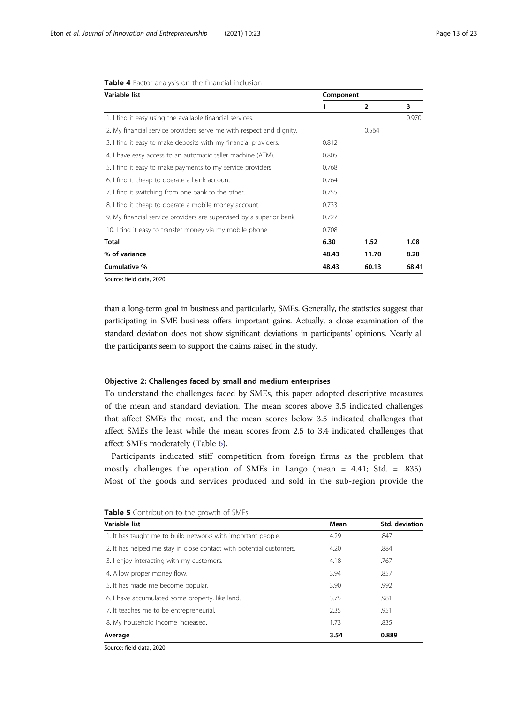| Variable list                                                        | Component |                |       |
|----------------------------------------------------------------------|-----------|----------------|-------|
|                                                                      | 1         | $\overline{2}$ | 3     |
| 1. I find it easy using the available financial services.            |           |                | 0.970 |
| 2. My financial service providers serve me with respect and dignity. |           | 0.564          |       |
| 3. I find it easy to make deposits with my financial providers.      | 0.812     |                |       |
| 4. I have easy access to an automatic teller machine (ATM).          | 0.805     |                |       |
| 5. I find it easy to make payments to my service providers.          | 0.768     |                |       |
| 6. I find it cheap to operate a bank account.                        | 0.764     |                |       |
| 7. I find it switching from one bank to the other.                   | 0.755     |                |       |
| 8. I find it cheap to operate a mobile money account.                | 0.733     |                |       |
| 9. My financial service providers are supervised by a superior bank. | 0.727     |                |       |
| 10. I find it easy to transfer money via my mobile phone.            | 0.708     |                |       |
| <b>Total</b>                                                         | 6.30      | 1.52           | 1.08  |
| % of variance                                                        | 48.43     | 11.70          | 8.28  |
| Cumulative %                                                         | 48.43     | 60.13          | 68.41 |

#### <span id="page-12-0"></span>Table 4 Factor analysis on the financial inclusion

Source: field data, 2020

than a long-term goal in business and particularly, SMEs. Generally, the statistics suggest that participating in SME business offers important gains. Actually, a close examination of the standard deviation does not show significant deviations in participants' opinions. Nearly all the participants seem to support the claims raised in the study.

#### Objective 2: Challenges faced by small and medium enterprises

To understand the challenges faced by SMEs, this paper adopted descriptive measures of the mean and standard deviation. The mean scores above 3.5 indicated challenges that affect SMEs the most, and the mean scores below 3.5 indicated challenges that affect SMEs the least while the mean scores from 2.5 to 3.4 indicated challenges that affect SMEs moderately (Table [6](#page-13-0)).

Participants indicated stiff competition from foreign firms as the problem that mostly challenges the operation of SMEs in Lango (mean = 4.41; Std. = .835). Most of the goods and services produced and sold in the sub-region provide the

| Variable list                                                       | Mean | Std. deviation |  |
|---------------------------------------------------------------------|------|----------------|--|
| 1. It has taught me to build networks with important people.        | 4.29 | .847           |  |
| 2. It has helped me stay in close contact with potential customers. | 4.20 | .884           |  |
| 3. I enjoy interacting with my customers.                           | 4.18 | .767           |  |
| 4. Allow proper money flow.                                         | 3.94 | .857           |  |
| 5. It has made me become popular.                                   | 3.90 | .992           |  |
| 6. I have accumulated some property, like land.                     | 3.75 | .981           |  |
| 7. It teaches me to be entrepreneurial.                             | 2.35 | .951           |  |
| 8. My household income increased.                                   | 1.73 | .835           |  |
| Average                                                             | 3.54 | 0.889          |  |

#### Table 5 Contribution to the growth of SMEs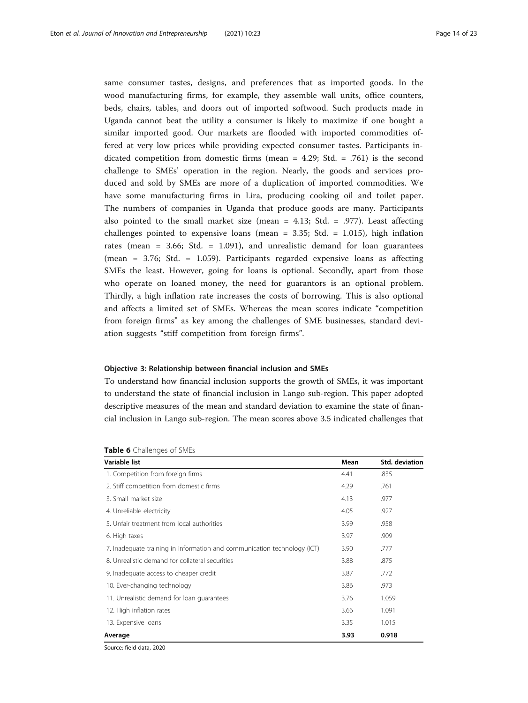<span id="page-13-0"></span>same consumer tastes, designs, and preferences that as imported goods. In the wood manufacturing firms, for example, they assemble wall units, office counters, beds, chairs, tables, and doors out of imported softwood. Such products made in Uganda cannot beat the utility a consumer is likely to maximize if one bought a similar imported good. Our markets are flooded with imported commodities offered at very low prices while providing expected consumer tastes. Participants indicated competition from domestic firms (mean =  $4.29$ ; Std. = .761) is the second challenge to SMEs' operation in the region. Nearly, the goods and services produced and sold by SMEs are more of a duplication of imported commodities. We have some manufacturing firms in Lira, producing cooking oil and toilet paper. The numbers of companies in Uganda that produce goods are many. Participants also pointed to the small market size (mean =  $4.13$ ; Std. = .977). Least affecting challenges pointed to expensive loans (mean =  $3.35$ ; Std. =  $1.015$ ), high inflation rates (mean = 3.66; Std. = 1.091), and unrealistic demand for loan guarantees (mean = 3.76; Std. = 1.059). Participants regarded expensive loans as affecting SMEs the least. However, going for loans is optional. Secondly, apart from those who operate on loaned money, the need for guarantors is an optional problem. Thirdly, a high inflation rate increases the costs of borrowing. This is also optional and affects a limited set of SMEs. Whereas the mean scores indicate "competition from foreign firms" as key among the challenges of SME businesses, standard deviation suggests "stiff competition from foreign firms".

#### Objective 3: Relationship between financial inclusion and SMEs

To understand how financial inclusion supports the growth of SMEs, it was important to understand the state of financial inclusion in Lango sub-region. This paper adopted descriptive measures of the mean and standard deviation to examine the state of financial inclusion in Lango sub-region. The mean scores above 3.5 indicated challenges that

| Variable list                                                            | Mean | Std. deviation |  |
|--------------------------------------------------------------------------|------|----------------|--|
| 1. Competition from foreign firms                                        | 4.41 | .835           |  |
| 2. Stiff competition from domestic firms                                 | 4.29 | .761           |  |
| 3. Small market size                                                     | 4.13 | .977           |  |
| 4. Unreliable electricity                                                | 4.05 | .927           |  |
| 5. Unfair treatment from local authorities                               | 3.99 | .958           |  |
| 6. High taxes                                                            | 3.97 | .909           |  |
| 7. Inadequate training in information and communication technology (ICT) | 3.90 | .777           |  |
| 8. Unrealistic demand for collateral securities                          | 3.88 | .875           |  |
| 9. Inadequate access to cheaper credit                                   | 3.87 | .772           |  |
| 10. Ever-changing technology                                             | 3.86 | .973           |  |
| 11. Unrealistic demand for loan quarantees                               | 3.76 | 1.059          |  |
| 12. High inflation rates                                                 | 3.66 | 1.091          |  |
| 13. Expensive loans                                                      | 3.35 | 1.015          |  |
| Average                                                                  | 3.93 | 0.918          |  |

#### Table 6 Challenges of SMEs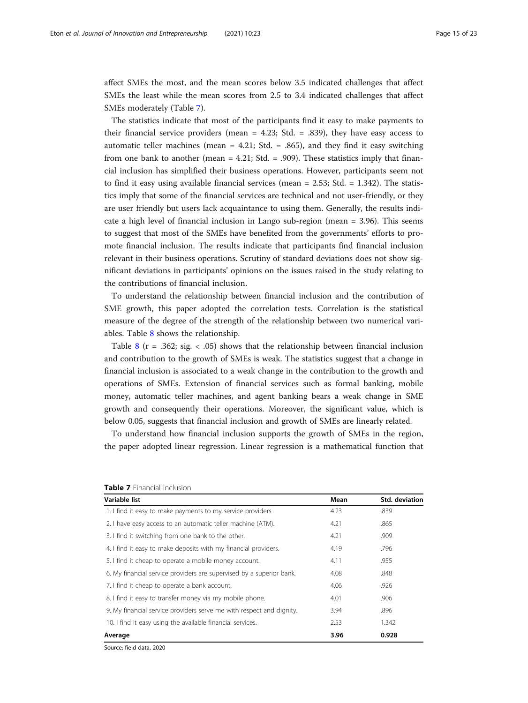affect SMEs the most, and the mean scores below 3.5 indicated challenges that affect SMEs the least while the mean scores from 2.5 to 3.4 indicated challenges that affect SMEs moderately (Table 7).

The statistics indicate that most of the participants find it easy to make payments to their financial service providers (mean  $= 4.23$ ; Std.  $= .839$ ), they have easy access to automatic teller machines (mean  $= 4.21$ ; Std.  $= .865$ ), and they find it easy switching from one bank to another (mean  $= 4.21$ ; Std.  $= .909$ ). These statistics imply that financial inclusion has simplified their business operations. However, participants seem not to find it easy using available financial services (mean  $= 2.53$ ; Std.  $= 1.342$ ). The statistics imply that some of the financial services are technical and not user-friendly, or they are user friendly but users lack acquaintance to using them. Generally, the results indicate a high level of financial inclusion in Lango sub-region (mean = 3.96). This seems to suggest that most of the SMEs have benefited from the governments' efforts to promote financial inclusion. The results indicate that participants find financial inclusion relevant in their business operations. Scrutiny of standard deviations does not show significant deviations in participants' opinions on the issues raised in the study relating to the contributions of financial inclusion.

To understand the relationship between financial inclusion and the contribution of SME growth, this paper adopted the correlation tests. Correlation is the statistical measure of the degree of the strength of the relationship between two numerical variables. Table [8](#page-15-0) shows the relationship.

Table [8](#page-15-0) ( $r = .362$ ; sig. < .05) shows that the relationship between financial inclusion and contribution to the growth of SMEs is weak. The statistics suggest that a change in financial inclusion is associated to a weak change in the contribution to the growth and operations of SMEs. Extension of financial services such as formal banking, mobile money, automatic teller machines, and agent banking bears a weak change in SME growth and consequently their operations. Moreover, the significant value, which is below 0.05, suggests that financial inclusion and growth of SMEs are linearly related.

To understand how financial inclusion supports the growth of SMEs in the region, the paper adopted linear regression. Linear regression is a mathematical function that

| Variable list                                                        | Mean | Std. deviation |  |
|----------------------------------------------------------------------|------|----------------|--|
| 1. I find it easy to make payments to my service providers.          | 4.23 | .839           |  |
| 2. I have easy access to an automatic teller machine (ATM).          | 4.21 | .865           |  |
| 3. I find it switching from one bank to the other.                   | 4.21 | .909           |  |
| 4. I find it easy to make deposits with my financial providers.      | 4.19 | .796           |  |
| 5. I find it cheap to operate a mobile money account.                | 4.11 | .955           |  |
| 6. My financial service providers are supervised by a superior bank. | 4.08 | .848           |  |
| 7. I find it cheap to operate a bank account.                        | 4.06 | .926           |  |
| 8. I find it easy to transfer money via my mobile phone.             | 4.01 | .906           |  |
| 9. My financial service providers serve me with respect and dignity. | 3.94 | .896           |  |
| 10. I find it easy using the available financial services.           | 2.53 | 1.342          |  |
| Average                                                              | 3.96 | 0.928          |  |

#### Table 7 Financial inclusion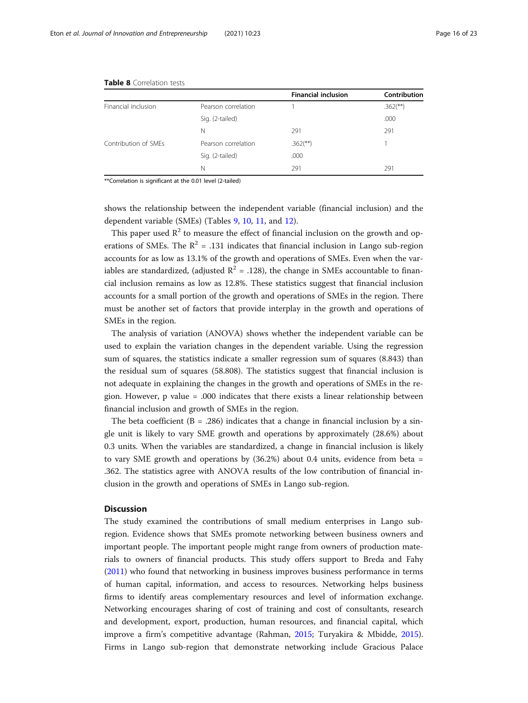|                     | <b>Financial inclusion</b> | Contribution           |
|---------------------|----------------------------|------------------------|
| Pearson correlation |                            | $.362$ <sup>**</sup> ) |
| Sig. (2-tailed)     |                            | .000                   |
| N                   | 291                        | 291                    |
| Pearson correlation | $.362$ <sup>**</sup> )     |                        |
| Sig. (2-tailed)     | .000                       |                        |
| N                   | 291                        | 291                    |
|                     |                            |                        |

#### <span id="page-15-0"></span>Table 8 Correlation tests

\*\*Correlation is significant at the 0.01 level (2-tailed)

shows the relationship between the independent variable (financial inclusion) and the dependent variable (SMEs) (Tables [9](#page-16-0), [10](#page-16-0), [11](#page-17-0), and [12](#page-17-0)).

This paper used  $R^2$  to measure the effect of financial inclusion on the growth and operations of SMEs. The  $R^2 = .131$  indicates that financial inclusion in Lango sub-region accounts for as low as 13.1% of the growth and operations of SMEs. Even when the variables are standardized, (adjusted  $\mathbb{R}^2 = .128$ ), the change in SMEs accountable to financial inclusion remains as low as 12.8%. These statistics suggest that financial inclusion accounts for a small portion of the growth and operations of SMEs in the region. There must be another set of factors that provide interplay in the growth and operations of SMEs in the region.

The analysis of variation (ANOVA) shows whether the independent variable can be used to explain the variation changes in the dependent variable. Using the regression sum of squares, the statistics indicate a smaller regression sum of squares (8.843) than the residual sum of squares (58.808). The statistics suggest that financial inclusion is not adequate in explaining the changes in the growth and operations of SMEs in the region. However, p value = .000 indicates that there exists a linear relationship between financial inclusion and growth of SMEs in the region.

The beta coefficient  $(B = .286)$  indicates that a change in financial inclusion by a single unit is likely to vary SME growth and operations by approximately (28.6%) about 0.3 units. When the variables are standardized, a change in financial inclusion is likely to vary SME growth and operations by (36.2%) about 0.4 units, evidence from beta = .362. The statistics agree with ANOVA results of the low contribution of financial inclusion in the growth and operations of SMEs in Lango sub-region.

#### **Discussion**

The study examined the contributions of small medium enterprises in Lango subregion. Evidence shows that SMEs promote networking between business owners and important people. The important people might range from owners of production materials to owners of financial products. This study offers support to Breda and Fahy ([2011](#page-20-0)) who found that networking in business improves business performance in terms of human capital, information, and access to resources. Networking helps business firms to identify areas complementary resources and level of information exchange. Networking encourages sharing of cost of training and cost of consultants, research and development, export, production, human resources, and financial capital, which improve a firm's competitive advantage (Rahman, [2015](#page-21-0); Turyakira & Mbidde, [2015](#page-22-0)). Firms in Lango sub-region that demonstrate networking include Gracious Palace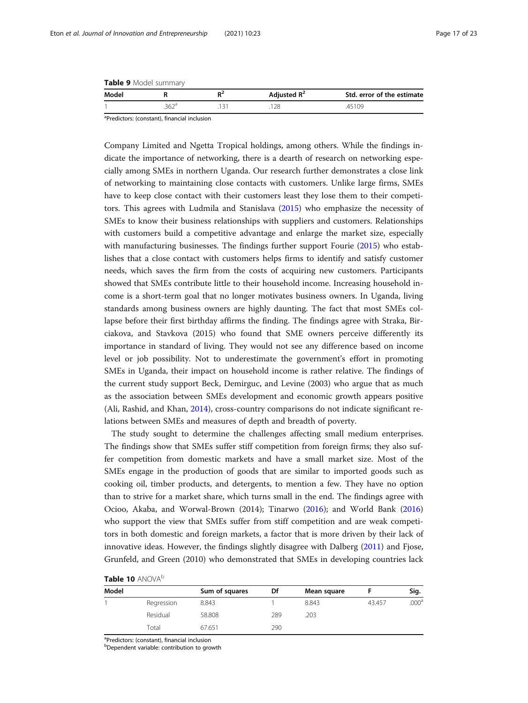<span id="page-16-0"></span>

| Table 9 Model summary |  |
|-----------------------|--|
|-----------------------|--|

| Model |             | Adjusted $R^2$ | Std. error of the estimate |
|-------|-------------|----------------|----------------------------|
|       | $\sim$ 0.00 | 128            | 45109                      |

a Predictors: (constant), financial inclusion

Company Limited and Ngetta Tropical holdings, among others. While the findings indicate the importance of networking, there is a dearth of research on networking especially among SMEs in northern Uganda. Our research further demonstrates a close link of networking to maintaining close contacts with customers. Unlike large firms, SMEs have to keep close contact with their customers least they lose them to their competitors. This agrees with Ludmila and Stanislava ([2015](#page-21-0)) who emphasize the necessity of SMEs to know their business relationships with suppliers and customers. Relationships with customers build a competitive advantage and enlarge the market size, especially with manufacturing businesses. The findings further support Fourie [\(2015\)](#page-20-0) who establishes that a close contact with customers helps firms to identify and satisfy customer needs, which saves the firm from the costs of acquiring new customers. Participants showed that SMEs contribute little to their household income. Increasing household income is a short-term goal that no longer motivates business owners. In Uganda, living standards among business owners are highly daunting. The fact that most SMEs collapse before their first birthday affirms the finding. The findings agree with Straka, Birciakova, and Stavkova (2015) who found that SME owners perceive differently its importance in standard of living. They would not see any difference based on income level or job possibility. Not to underestimate the government's effort in promoting SMEs in Uganda, their impact on household income is rather relative. The findings of the current study support Beck, Demirguc, and Levine (2003) who argue that as much as the association between SMEs development and economic growth appears positive (Ali, Rashid, and Khan, [2014\)](#page-20-0), cross-country comparisons do not indicate significant relations between SMEs and measures of depth and breadth of poverty.

The study sought to determine the challenges affecting small medium enterprises. The findings show that SMEs suffer stiff competition from foreign firms; they also suffer competition from domestic markets and have a small market size. Most of the SMEs engage in the production of goods that are similar to imported goods such as cooking oil, timber products, and detergents, to mention a few. They have no option than to strive for a market share, which turns small in the end. The findings agree with Ocioo, Akaba, and Worwal-Brown (2014); Tinarwo [\(2016\)](#page-22-0); and World Bank ([2016](#page-22-0)) who support the view that SMEs suffer from stiff competition and are weak competitors in both domestic and foreign markets, a factor that is more driven by their lack of innovative ideas. However, the findings slightly disagree with Dalberg [\(2011](#page-20-0)) and Fjose, Grunfeld, and Green (2010) who demonstrated that SMEs in developing countries lack

|  |  |  | Table 10 ANOVA <sup>b</sup> |
|--|--|--|-----------------------------|
|--|--|--|-----------------------------|

| Model |            | Sum of squares | Df  | Mean square |        | Sig.              |
|-------|------------|----------------|-----|-------------|--------|-------------------|
|       | Regression | 8.843          |     | 8.843       | 43.457 | .000 <sup>a</sup> |
|       | Residual   | 58.808         | 289 | .203        |        |                   |
|       | Total      | 67.651         | 290 |             |        |                   |

<sup>a</sup>Predictors: (constant), financial inclusion

b Dependent variable: contribution to growth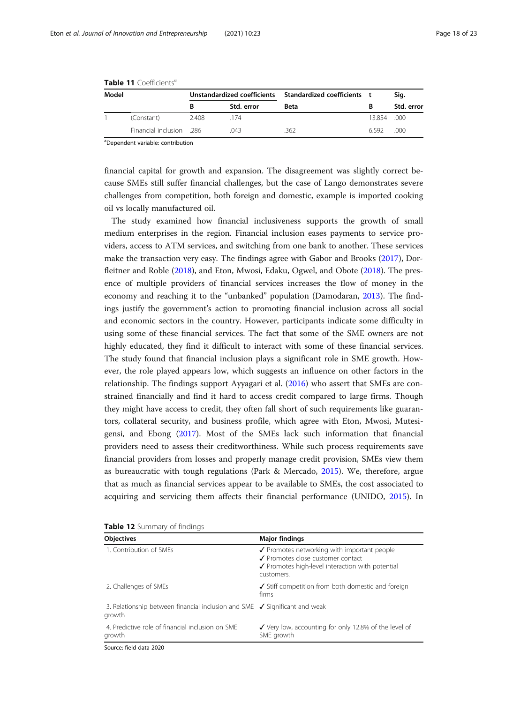| Model |                         | Unstandardized coefficients Standardized coefficients t |            |      |             | Sig.       |
|-------|-------------------------|---------------------------------------------------------|------------|------|-------------|------------|
|       |                         |                                                         | Std. error | Beta |             | Std. error |
|       | (Constant)              | 2.408                                                   | .174       |      | 13.854 .000 |            |
|       | Financial inclusion 286 |                                                         | 043        | 362  | 6592        | 000        |

<span id="page-17-0"></span>Table 11 Coefficients<sup>a</sup>

a Dependent variable: contribution

financial capital for growth and expansion. The disagreement was slightly correct because SMEs still suffer financial challenges, but the case of Lango demonstrates severe challenges from competition, both foreign and domestic, example is imported cooking oil vs locally manufactured oil.

The study examined how financial inclusiveness supports the growth of small medium enterprises in the region. Financial inclusion eases payments to service providers, access to ATM services, and switching from one bank to another. These services make the transaction very easy. The findings agree with Gabor and Brooks [\(2017\)](#page-20-0), Dorfleitner and Roble ([2018](#page-20-0)), and Eton, Mwosi, Edaku, Ogwel, and Obote [\(2018\)](#page-20-0). The presence of multiple providers of financial services increases the flow of money in the economy and reaching it to the "unbanked" population (Damodaran, [2013](#page-20-0)). The findings justify the government's action to promoting financial inclusion across all social and economic sectors in the country. However, participants indicate some difficulty in using some of these financial services. The fact that some of the SME owners are not highly educated, they find it difficult to interact with some of these financial services. The study found that financial inclusion plays a significant role in SME growth. However, the role played appears low, which suggests an influence on other factors in the relationship. The findings support Ayyagari et al. [\(2016\)](#page-20-0) who assert that SMEs are constrained financially and find it hard to access credit compared to large firms. Though they might have access to credit, they often fall short of such requirements like guarantors, collateral security, and business profile, which agree with Eton, Mwosi, Mutesigensi, and Ebong ([2017](#page-20-0)). Most of the SMEs lack such information that financial providers need to assess their creditworthiness. While such process requirements save financial providers from losses and properly manage credit provision, SMEs view them as bureaucratic with tough regulations (Park & Mercado, [2015](#page-21-0)). We, therefore, argue that as much as financial services appear to be available to SMEs, the cost associated to acquiring and servicing them affects their financial performance (UNIDO, [2015\)](#page-22-0). In

| <b>Objectives</b>                                                                               | <b>Major findings</b>                                                                                                                              |  |
|-------------------------------------------------------------------------------------------------|----------------------------------------------------------------------------------------------------------------------------------------------------|--|
| 1. Contribution of SMEs                                                                         | ✔ Promotes networking with important people<br>✔ Promotes close customer contact<br>✔ Promotes high-level interaction with potential<br>customers. |  |
| 2. Challenges of SMEs                                                                           | ✔ Stiff competition from both domestic and foreign<br>firms                                                                                        |  |
| 3. Relationship between financial inclusion and SME $\checkmark$ Significant and weak<br>growth |                                                                                                                                                    |  |
| 4. Predictive role of financial inclusion on SMF<br>growth                                      | ✔ Very low, accounting for only 12.8% of the level of<br>SME growth                                                                                |  |
| Source: field data 2020                                                                         |                                                                                                                                                    |  |

| Table 12 Summary of findings |  |
|------------------------------|--|
|------------------------------|--|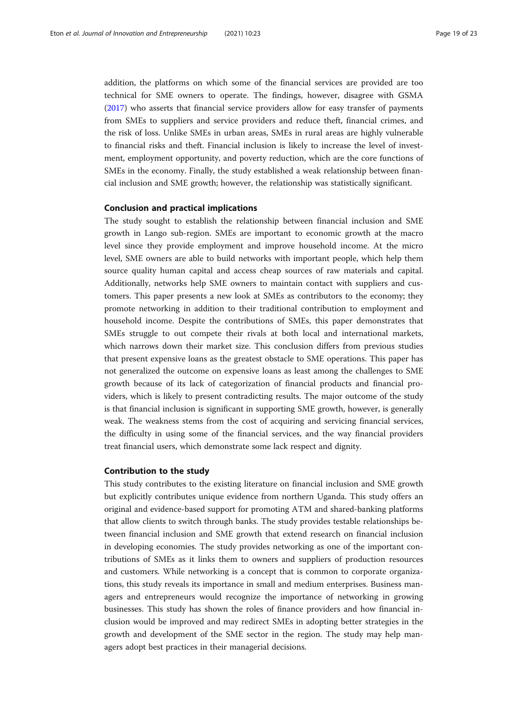addition, the platforms on which some of the financial services are provided are too technical for SME owners to operate. The findings, however, disagree with GSMA ([2017](#page-21-0)) who asserts that financial service providers allow for easy transfer of payments from SMEs to suppliers and service providers and reduce theft, financial crimes, and the risk of loss. Unlike SMEs in urban areas, SMEs in rural areas are highly vulnerable to financial risks and theft. Financial inclusion is likely to increase the level of investment, employment opportunity, and poverty reduction, which are the core functions of SMEs in the economy. Finally, the study established a weak relationship between financial inclusion and SME growth; however, the relationship was statistically significant.

#### Conclusion and practical implications

The study sought to establish the relationship between financial inclusion and SME growth in Lango sub-region. SMEs are important to economic growth at the macro level since they provide employment and improve household income. At the micro level, SME owners are able to build networks with important people, which help them source quality human capital and access cheap sources of raw materials and capital. Additionally, networks help SME owners to maintain contact with suppliers and customers. This paper presents a new look at SMEs as contributors to the economy; they promote networking in addition to their traditional contribution to employment and household income. Despite the contributions of SMEs, this paper demonstrates that SMEs struggle to out compete their rivals at both local and international markets, which narrows down their market size. This conclusion differs from previous studies that present expensive loans as the greatest obstacle to SME operations. This paper has not generalized the outcome on expensive loans as least among the challenges to SME growth because of its lack of categorization of financial products and financial providers, which is likely to present contradicting results. The major outcome of the study is that financial inclusion is significant in supporting SME growth, however, is generally weak. The weakness stems from the cost of acquiring and servicing financial services, the difficulty in using some of the financial services, and the way financial providers treat financial users, which demonstrate some lack respect and dignity.

#### Contribution to the study

This study contributes to the existing literature on financial inclusion and SME growth but explicitly contributes unique evidence from northern Uganda. This study offers an original and evidence-based support for promoting ATM and shared-banking platforms that allow clients to switch through banks. The study provides testable relationships between financial inclusion and SME growth that extend research on financial inclusion in developing economies. The study provides networking as one of the important contributions of SMEs as it links them to owners and suppliers of production resources and customers. While networking is a concept that is common to corporate organizations, this study reveals its importance in small and medium enterprises. Business managers and entrepreneurs would recognize the importance of networking in growing businesses. This study has shown the roles of finance providers and how financial inclusion would be improved and may redirect SMEs in adopting better strategies in the growth and development of the SME sector in the region. The study may help managers adopt best practices in their managerial decisions.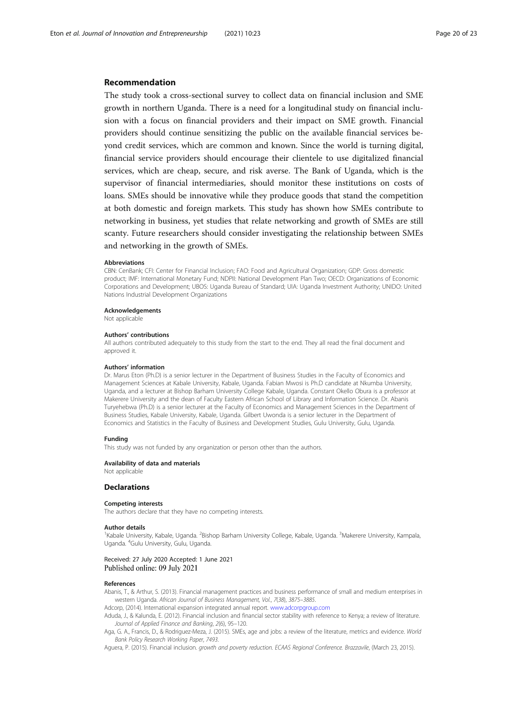#### <span id="page-19-0"></span>Recommendation

The study took a cross-sectional survey to collect data on financial inclusion and SME growth in northern Uganda. There is a need for a longitudinal study on financial inclusion with a focus on financial providers and their impact on SME growth. Financial providers should continue sensitizing the public on the available financial services beyond credit services, which are common and known. Since the world is turning digital, financial service providers should encourage their clientele to use digitalized financial services, which are cheap, secure, and risk averse. The Bank of Uganda, which is the supervisor of financial intermediaries, should monitor these institutions on costs of loans. SMEs should be innovative while they produce goods that stand the competition at both domestic and foreign markets. This study has shown how SMEs contribute to networking in business, yet studies that relate networking and growth of SMEs are still scanty. Future researchers should consider investigating the relationship between SMEs and networking in the growth of SMEs.

#### Abbreviations

CBN: CenBank; CFI: Center for Financial Inclusion; FAO: Food and Agricultural Organization; GDP: Gross domestic product; IMF: International Monetary Fund; NDPII: National Development Plan Two; OECD: Organizations of Economic Corporations and Development; UBOS: Uganda Bureau of Standard; UIA: Uganda Investment Authority; UNIDO: United Nations Industrial Development Organizations

Acknowledgements

Not applicable

#### Authors' contributions

All authors contributed adequately to this study from the start to the end. They all read the final document and approved it.

#### Authors' information

Dr. Marus Eton (Ph.D) is a senior lecturer in the Department of Business Studies in the Faculty of Economics and Management Sciences at Kabale University, Kabale, Uganda. Fabian Mwosi is Ph.D candidate at Nkumba University, Uganda, and a lecturer at Bishop Barham University College Kabale, Uganda. Constant Okello Obura is a professor at Makerere University and the dean of Faculty Eastern African School of Library and Information Science. Dr. Abanis Turyehebwa (Ph.D) is a senior lecturer at the Faculty of Economics and Management Sciences in the Department of Business Studies, Kabale University, Kabale, Uganda. Gilbert Uwonda is a senior lecturer in the Department of Economics and Statistics in the Faculty of Business and Development Studies, Gulu University, Gulu, Uganda.

#### Funding

This study was not funded by any organization or person other than the authors.

#### Availability of data and materials

Not applicable

#### Declarations

#### Competing interests

The authors declare that they have no competing interests.

#### Author details

<sup>1</sup>Kabale University, Kabale, Uganda. <sup>2</sup>Bishop Barham University College, Kabale, Uganda. <sup>3</sup>Makerere University, Kampala Uganda. <sup>4</sup>Gulu University, Gulu, Uganda.

## Received: 27 July 2020 Accepted: 1 June 2021<br>Published online: 09 July 2021

#### References

Abanis, T., & Arthur, S. (2013). Financial management practices and business performance of small and medium enterprises in western Uganda. African Journal of Business Management, Vol., 7(38), 3875–3885.

Adcorp, (2014). International expansion integrated annual report. [www.adcorpgroup.com](http://www.adcorpgroup.com)

Aduda, J., & Kalunda, E. (2012). Financial inclusion and financial sector stability with reference to Kenya; a review of literature. Journal of Applied Finance and Banking, 2(6), 95–120.

Aga, G. A., Francis, D., & Rodriguez-Meza, J. (2015). SMEs, age and jobs: a review of the literature, metrics and evidence. World Bank Policy Research Working Paper, 7493.

Aguera, P. (2015). Financial inclusion. growth and poverty reduction. ECAAS Regional Conference. Brazzavile, (March 23, 2015).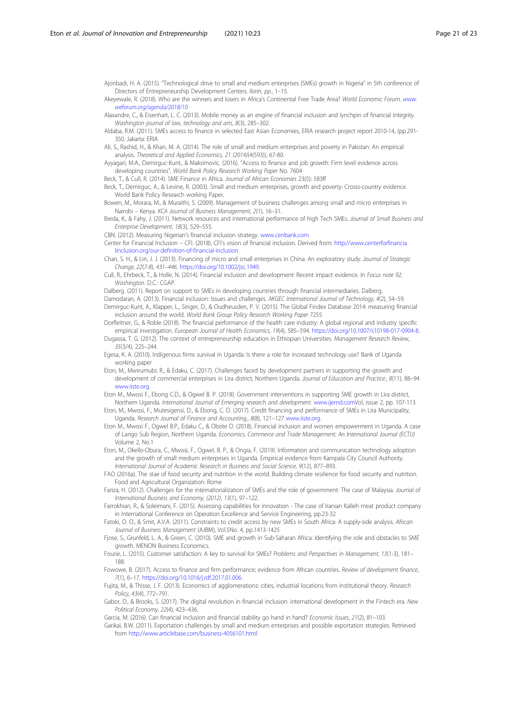<span id="page-20-0"></span>Ajonbadi, H. A. (2015). "Technological drive to small and medium enterprises (SMEs) growth in Nigeria" in 5th conference of Directors of Entrepreneurship Development Centers. Ilorin, pp., 1-15.

Akeyewale, R. (2018). Who are the winners and losers in Africa's Continental Free Trade Area? World Economic Forum. [www.](http://www.weforum.org/agenda/2018/10) [weforum.org/agenda/2018/10](http://www.weforum.org/agenda/2018/10)

Alaxandre, C., & Eisenhart, L. C. (2013). Mobile money as an engine of financial inclusion and lynchpin of financial integrity. Washington journal of law, technology and arts, 8(3), 285–302.

Aldaba, R.M. (2011). SMEs access to finance in selected East Asian Economies, ERIA research project report 2010-14, (pp.291- 350. Jakarta: ERIA

Ali, S., Rashid, H., & Khan, M. A. (2014). The role of small and medium enterprises and poverty in Pakistan: An empirical analysis. Theoretical and Applied Economics, 21 (2014)(4(593)), 67-80.

Ayyagari, M.A., Demirguc-Kunt., & Maksimovic. (2016). "Access to finance and job growth: Firm level evidence across developing countries", World Bank Policy Research Working Paper No. 7604

Beck, T., & Cull, R. (2014). SME Finance in Africa. Journal of African Economies 23(5): 583ff

Beck, T., Demirguc, A., & Levine, R. (2003). Small and medium enterprises, growth and poverty: Crosss-country evidence. World Bank Policy Research working Paper.

Bowen, M., Morara, M., & Muraithi, S. (2009). Management of business challenges among small and micro enterprises in Nairobi – Kenya. KCA Journal of Business Management, 2(1), 16–31.

Breda, K., & Fahy, J. (2011). Network resources and international performance of high Tech SMEs. Journal of Small Business and Enterprise Development, 18(3), 529–555.

CBN. (2012). Measuring Nigerian's financial inclusion strategy. [www.cenbank.com](http://www.cenbank.com)

Center for Financial Inclusion – CFI. (2018). CFI's vision of financial inclusion. Derived from: [http://www.centerforfinancia](http://www.centerforfinancialinclusion.org/our-definition-of-financial-inclusion) [linclusion.org/our-definition-of-financial-inclusion](http://www.centerforfinancialinclusion.org/our-definition-of-financial-inclusion)

Chan, S. H., & Lin, J. J. (2013). Financing of micro and small enterprises in China: An exploratory study. Journal of Strategic Change, 22(7-8), 431–446. [https://doi.org/10.1002/jsc.1949.](https://doi.org/10.1002/jsc.1949)

Cull, R., Ehrbeck, T., & Holle, N. (2014). Financial inclusion and development: Recent impact evidence. In Focus note 92, Washington. D.C.: CGAP.

Dalberg. (2011). Report on support to SMEs in developing countries through financial intermediaries. Dalberg.

Damodaran, A. (2013). Financial inclusion: Issues and challenges. AKGEC International Journal of Technology, 4(2), 54–59. Demirguc-Kunt, A., Klapper, L., Singer, D., & Oudheusden, P. V. (2015). The Global Findex Database 2014: measuring financial inclusion around the world. World Bank Group Policy Research Working Paper 7255

Dorfleitner, G., & Roble (2018). The financial performance of the health care industry: A global regional and industry specific empirical investigation. European Journal of Health Economics, 19(4), 585–594. <https://doi.org/10.1007/s10198-017-0904-8>.

Dugassa, T. G. (2012). The context of entrepreneurship education in Ethiopian Universities. Management Research Review, 35(3/4), 225–244.

Egesa, K. A. (2010). Indigenous firms survival in Uganda: Is there a role for increased technology use? Bank of Uganda working paper

Eton, M., Mwirumubi, R., & Edaku, C. (2017). Challenges faced by development partners in supporting the growth and development of commercial enterprises in Lira district, Northern Uganda. Journal of Education and Practice., 8(11), 88–94 [www.iiste.org](http://www.iiste.org).

Eton M., Mwosi F., Ebong C.D., & Ogwel B. P. (2018). Government interventions in supporting SME growth in Lira district, Northern Uganda. International Journal of Emerging research and development. [www.ijernd.comV](http://www.ijernd.com)ol, issue 2, pp. 107-113

Eton, M., Mwosi, F., Mutesigensi, D., & Ebong, C. D. (2017). Credit financing and performance of SMEs in Lira Municipality, Uganda. Research Journal of Finance and Accounting., 8(8), 121-127 [www.iiste.org](http://www.iiste.org).

Eton M., Mwosi F., Ogwel B.P., Edaku C., & Obote D. (2018). Financial inclusion and women empowerment in Uganda. A case of Lango Sub Region, Northern Uganda. Economics, Commerce and Trade Management: An International Journal (ECTIJ) Volume 2, No.1

Eton, M., Okello-Obura, C., Mwosi, F., Ogwel, B. P., & Ongia, F. (2019). Information and communication technology adoption and the growth of small medium enterprises in Uganda. Empirical evidence from Kampala City Council Authority. International Journal of Academic Research in Business and Social Science, 9(12), 877–893.

FAO (2016a). The stae of food security and nutrition in the world. Building climate resilience for food security and nutrition. Food and Agricultural Organization: Rome

Fariza, H. (2012). Challenges for the internationalization of SMEs and the role of government: The case of Malaysia. Journal of International Business and Economy, (2012), 13(1), 97–122.

Farrokhian, R., & Soleimani, F. (2015). Assessing capabilities for innovation - The case of Iranian Kalleh meat product company in International Conference on Operation Excellence and Service Engineering, pp.23-32

Fatoki, O. O., & Smit, A.V.A. (2011). Constraints to credit access by new SMEs in South Africa: A supply-side analysis. African Journal of Business Management (AJBM), Vol.5No. 4, pp.1413-1425

Fjose, S., Grunfeld, L. A., & Green, C. (2010). SME and growth in Sub-Saharan Africa: Identifying the role and obstacles to SME growth. MENON Business Economics.

Fourie, L. (2015). Customer satisfaction: A key to survival for SMEs? Problems and Perspectives in Management, 13(1-3), 181– 188.

Fowowe, B. (2017). Access to finance and firm performance; evidence from African countries. Review of development finance, 7(1), 6–17. <https://doi.org/10.1016/j.rdf.2017.01.006>.

Fujita, M., & Thisse, J. F. (2013). Economics of agglomerations: cities, industrial locations from institutional theory. Research Policy, 43(4), 772–791.

Gabor, D., & Brooks, S. (2017). The digital revolution in financial inclusion: international development in the Fintech era. New Political Economy, 22(4), 423–436.

Garcia, M. (2016). Can financial inclusion and financial stability go hand in hand? Economic Issues, 21(2), 81-103.

Garikai, B.W. (2011). Exportation challenges by small and medium enterprises and possible exportation strategies. Retrieved from <http://www.articlebase.com/business-4056101.html>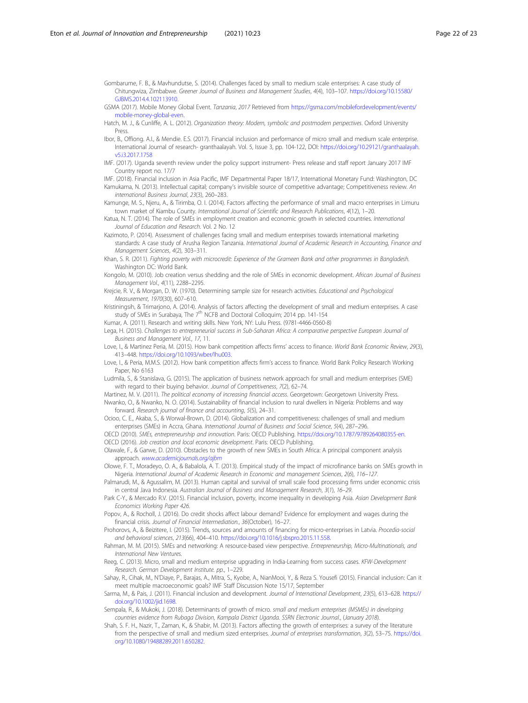<span id="page-21-0"></span>Gombarume, F. B., & Mavhundutse, S. (2014). Challenges faced by small to medium scale enterprises: A case study of Chitungwiza, Zimbabwe. Greener Journal of Business and Management Studies, 4(4), 103–107. [https://doi.org/10.15580/](https://doi.org/10.15580/GJBMS.2014.4.102113910) [GJBMS.2014.4.102113910](https://doi.org/10.15580/GJBMS.2014.4.102113910).

- GSMA (2017). Mobile Money Global Event. Tanzania, 2017 Retrieved from [https://gsma.com/mobilefordevelopment/events/](https://gsma.com/mobilefordevelopment/events/mobile-money-global-even) [mobile-money-global-even](https://gsma.com/mobilefordevelopment/events/mobile-money-global-even).
- Hatch, M. J., & Cunliffe, A. L. (2012). Organization theory: Modern, symbolic and postmodern perspectives. Oxford University Press.
- Ibor, B., Offiong. A.I., & Mendie. E.S. (2017). Financial inclusion and performance of micro small and medium scale enterprise. International Journal of research- granthaalayah. Vol. 5, Issue 3, pp. 104-122, DOI: [https://doi.org/10.29121/granthaalayah.](https://doi.org/10.29121/granthaalayah.v5.i3.2017.1758) [v5.i3.2017.1758](https://doi.org/10.29121/granthaalayah.v5.i3.2017.1758)
- IMF. (2017). Uganda seventh review under the policy support instrument- Press release and staff report January 2017 IMF Country report no. 17/7
- IMF. (2018). Financial inclusion in Asia Pacific, IMF Departmental Paper 18/17, International Monetary Fund: Washington, DC Kamukama, N. (2013). Intellectual capital; company's invisible source of competitive advantage; Competitiveness review. An international Business Journal, 23(3), 260–283.
- Kamunge, M. S., Njeru, A., & Tirimba, O. I. (2014). Factors affecting the performance of small and macro enterprises in Limuru town market of Kiambu County. International Journal of Scientific and Research Publications, 4(12), 1-20.

Katua, N. T. (2014). The role of SMEs in employment creation and economic growth in selected countries. International Journal of Education and Research. Vol. 2 No. 12

Kazimoto, P. (2014). Assessment of challenges facing small and medium enterprises towards international marketing standards: A case study of Arusha Region Tanzania. International Journal of Academic Research in Accounting, Finance and Management Sciences, 4(2), 303–311.

- Khan, S. R. (2011). Fighting poverty with microcredit: Experience of the Grameen Bank and other programmes in Bangladesh. Washington DC: World Bank.
- Kongolo, M. (2010). Job creation versus shedding and the role of SMEs in economic development. African Journal of Business Management Vol., 4(11), 2288–2295.
- Krejcie, R. V., & Morgan, D. W. (1970). Determining sample size for research activities. Educational and Psychological Measurement, 1970(30), 607–610.

Kristiningsih, & Trimarjono, A. (2014). Analysis of factors affecting the development of small and medium enterprises. A case study of SMEs in Surabaya, The 7<sup>th</sup> NCFB and Doctoral Colloquim; 2014 pp. 141-154

Kumar, A. (2011). Research and writing skills. New York, NY: Lulu Press. (9781-4466-0560-8)

- Lega, H. (2015). Challenges to entrepreneurial success in Sub-Saharan Africa: A comparative perspective European Journal of Business and Management Vol., 17, 11.
- Love, I., & Martinez Peria, M. (2015). How bank competition affects firms' access to finance. World Bank Economic Review, 29(3), 413–448. <https://doi.org/10.1093/wber/lhu003>.
- Love, I., & Peria, M.M.S. (2012). How bank competition affects firm's access to finance. World Bank Policy Research Working Paper, No 6163
- Ludmila, S., & Stanislava, G. (2015). The application of business network approach for small and medium enterprises (SME) with regard to their buying behavior. Journal of Competitiveness, 7(2), 62–74.

Martinez, M. V. (2011). The political economy of increasing financial access. Georgetown: Georgetown University Press. Nwanko, O., & Nwanko, N. O. (2014). Sustainability of financial inclusion to rural dwellers in Nigeria: Problems and way

forward. Research journal of finance and accounting, 5(5), 24–31. Ocioo, C. E., Akaba, S., & Worwal-Brown, D. (2014). Globalization and competitiveness: challenges of small and medium enterprises (SMEs) in Accra, Ghana. International Journal of Business and Social Science, 5(4), 287–296.

OECD (2010). SMEs, entrepreneurship and innovation. Paris: OECD Publishing. <https://doi.org/10.1787/9789264080355-en>. OECD (2016). Job creation and local economic development. Paris: OECD Publishing.

Olawale, F., & Garwe, D. (2010). Obstacles to the growth of new SMEs in South Africa: A principal component analysis approach. [www.academicjournals.org/ajbm](http://www.academicjournals.org/ajbm)

Olowe, F. T., Moradeyo, O. A., & Babalola, A. T. (2013). Empirical study of the impact of microfinance banks on SMEs growth in Nigeria. International Journal of Academic Research in Economic and management Sciences, 2(6), 116–127.

Palmarudi, M., & Agussalim, M. (2013). Human capital and survival of small scale food processing firms under economic crisis in central Java Indonesia. Australian Journal of Business and Management Research, 3(1), 16–29.

- Park C-Y., & Mercado R.V. (2015). Financial inclusion, poverty, income inequality in developing Asia. Asian Development Bank Economics Working Paper 426.
- Popov, A., & Rocholl, J. (2016). Do credit shocks affect labour demand? Evidence for employment and wages during the financial crisis. Journal of Financial Intermediation., 36(October), 16–27.

Prohorovs, A., & Beizitere, I. (2015). Trends, sources and amounts of financing for micro-enterprises in Latvia. Procedia-social and behavioral sciences, 213(66), 404–410. <https://doi.org/10.1016/j.sbspro.2015.11.558>.

- Rahman, M. M. (2015). SMEs and networking: A resource-based view perspective. Entrepreneurship, Micro-Multinationals, and International New Ventures.
- Reeg, C. (2013). Micro, small and medium enterprise upgrading in India-Learning from success cases. KFW-Development Research. German Development Institute. pp., 1–229.
- Sahay, R., Cihak, M., N'Diaye, P., Barajas, A., Mitra, S., Kyobe, A., NianMooi, Y., & Reza S. Yousefi (2015). Financial inclusion: Can it meet multiple macroeconomic goals? IMF Staff Discussion Note 15/17, September
- Sarma, M., & Pais, J. (2011). Financial inclusion and development. Journal of International Development, 23(5), 613–628. [https://](https://doi.org/10.1002/jid.1698) [doi.org/10.1002/jid.1698.](https://doi.org/10.1002/jid.1698)
- Sempala, R., & Mukoki, J. (2018). Determinants of growth of micro. small and medium enterprises (MSMEs) in developing countries evidence from Rubaga Division, Kampala District Uganda. SSRN Electronic Journal., (January 2018).
- Shah, S. F. H., Nazir, T., Zaman, K., & Shabir, M. (2013). Factors affecting the growth of enterprises: a survey of the literature from the perspective of small and medium sized enterprises. Journal of enterprises transformation, 3(2), 53–75. [https://doi.](https://doi.org/10.1080/19488289.2011.650282) [org/10.1080/19488289.2011.650282.](https://doi.org/10.1080/19488289.2011.650282)